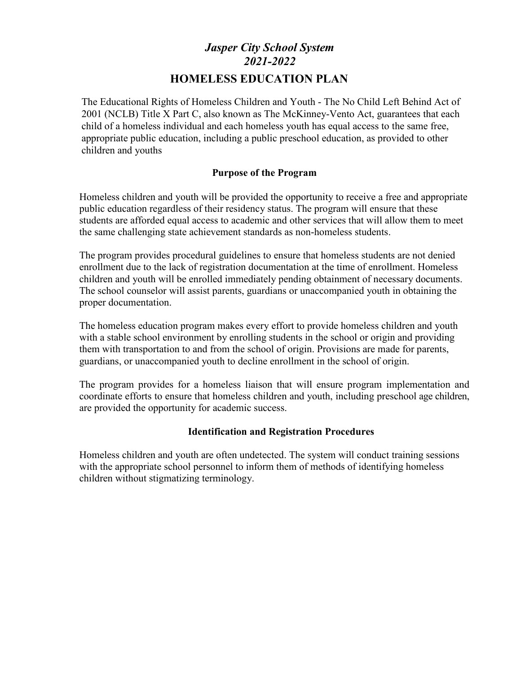# *Jasper City School System 2021-2022* **HOMELESS EDUCATION PLAN**

The Educational Rights of Homeless Children and Youth - The No Child Left Behind Act of 2001 (NCLB) Title X Part C, also known as The McKinney-Vento Act, guarantees that each child of a homeless individual and each homeless youth has equal access to the same free, appropriate public education, including a public preschool education, as provided to other children and youths

# **Purpose of the Program**

Homeless children and youth will be provided the opportunity to receive a free and appropriate public education regardless of their residency status. The program will ensure that these students are afforded equal access to academic and other services that will allow them to meet the same challenging state achievement standards as non-homeless students.

The program provides procedural guidelines to ensure that homeless students are not denied enrollment due to the lack of registration documentation at the time of enrollment. Homeless children and youth will be enrolled immediately pending obtainment of necessary documents. The school counselor will assist parents, guardians or unaccompanied youth in obtaining the proper documentation.

The homeless education program makes every effort to provide homeless children and youth with a stable school environment by enrolling students in the school or origin and providing them with transportation to and from the school of origin. Provisions are made for parents, guardians, or unaccompanied youth to decline enrollment in the school of origin.

The program provides for a homeless liaison that will ensure program implementation and coordinate efforts to ensure that homeless children and youth, including preschool age children, are provided the opportunity for academic success.

# **Identification and Registration Procedures**

Homeless children and youth are often undetected. The system will conduct training sessions with the appropriate school personnel to inform them of methods of identifying homeless children without stigmatizing terminology.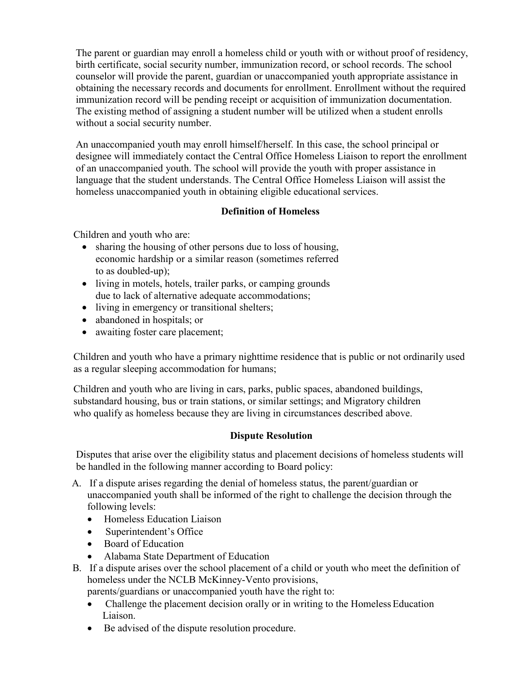The parent or guardian may enroll a homeless child or youth with or without proof of residency, birth certificate, social security number, immunization record, or school records. The school counselor will provide the parent, guardian or unaccompanied youth appropriate assistance in obtaining the necessary records and documents for enrollment. Enrollment without the required immunization record will be pending receipt or acquisition of immunization documentation. The existing method of assigning a student number will be utilized when a student enrolls without a social security number.

An unaccompanied youth may enroll himself/herself. In this case, the school principal or designee will immediately contact the Central Office Homeless Liaison to report the enrollment of an unaccompanied youth. The school will provide the youth with proper assistance in language that the student understands. The Central Office Homeless Liaison will assist the homeless unaccompanied youth in obtaining eligible educational services.

# **Definition of Homeless**

Children and youth who are:

- sharing the housing of other persons due to loss of housing, economic hardship or a similar reason (sometimes referred to as doubled-up);
- living in motels, hotels, trailer parks, or camping grounds due to lack of alternative adequate accommodations;
- living in emergency or transitional shelters;
- abandoned in hospitals; or
- awaiting foster care placement;

Children and youth who have a primary nighttime residence that is public or not ordinarily used as a regular sleeping accommodation for humans;

Children and youth who are living in cars, parks, public spaces, abandoned buildings, substandard housing, bus or train stations, or similar settings; and Migratory children who qualify as homeless because they are living in circumstances described above.

# **Dispute Resolution**

Disputes that arise over the eligibility status and placement decisions of homeless students will be handled in the following manner according to Board policy:

- A. If a dispute arises regarding the denial of homeless status, the parent/guardian or unaccompanied youth shall be informed of the right to challenge the decision through the following levels:
	- Homeless Education Liaison
	- Superintendent's Office
	- Board of Education
	- Alabama State Department of Education
- B. If a dispute arises over the school placement of a child or youth who meet the definition of homeless under the NCLB McKinney-Vento provisions,

parents/guardians or unaccompanied youth have the right to:

- Challenge the placement decision orally or in writing to the Homeless Education Liaison.
- Be advised of the dispute resolution procedure.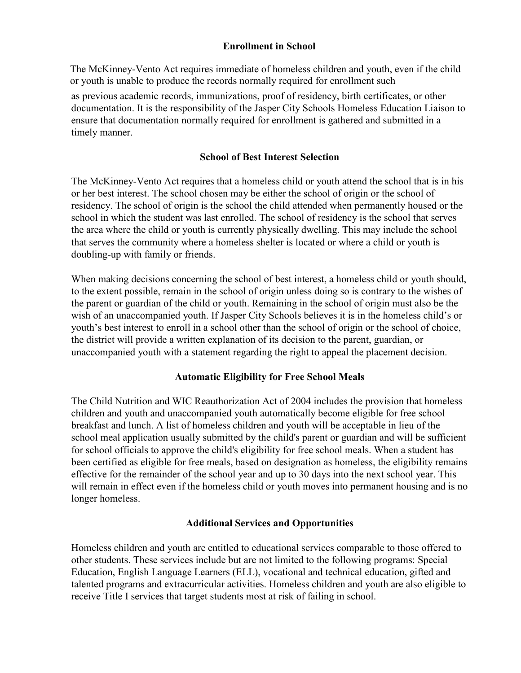## **Enrollment in School**

The McKinney-Vento Act requires immediate of homeless children and youth, even if the child or youth is unable to produce the records normally required for enrollment such

as previous academic records, immunizations, proof of residency, birth certificates, or other documentation. It is the responsibility of the Jasper City Schools Homeless Education Liaison to ensure that documentation normally required for enrollment is gathered and submitted in a timely manner.

#### **School of Best Interest Selection**

The McKinney-Vento Act requires that a homeless child or youth attend the school that is in his or her best interest. The school chosen may be either the school of origin or the school of residency. The school of origin is the school the child attended when permanently housed or the school in which the student was last enrolled. The school of residency is the school that serves the area where the child or youth is currently physically dwelling. This may include the school that serves the community where a homeless shelter is located or where a child or youth is doubling-up with family or friends.

When making decisions concerning the school of best interest, a homeless child or youth should, to the extent possible, remain in the school of origin unless doing so is contrary to the wishes of the parent or guardian of the child or youth. Remaining in the school of origin must also be the wish of an unaccompanied youth. If Jasper City Schools believes it is in the homeless child's or youth's best interest to enroll in a school other than the school of origin or the school of choice, the district will provide a written explanation of its decision to the parent, guardian, or unaccompanied youth with a statement regarding the right to appeal the placement decision.

# **Automatic Eligibility for Free School Meals**

The Child Nutrition and WIC Reauthorization Act of 2004 includes the provision that homeless children and youth and unaccompanied youth automatically become eligible for free school breakfast and lunch. A list of homeless children and youth will be acceptable in lieu of the school meal application usually submitted by the child's parent or guardian and will be sufficient for school officials to approve the child's eligibility for free school meals. When a student has been certified as eligible for free meals, based on designation as homeless, the eligibility remains effective for the remainder of the school year and up to 30 days into the next school year. This will remain in effect even if the homeless child or youth moves into permanent housing and is no longer homeless.

#### **Additional Services and Opportunities**

Homeless children and youth are entitled to educational services comparable to those offered to other students. These services include but are not limited to the following programs: Special Education, English Language Learners (ELL), vocational and technical education, gifted and talented programs and extracurricular activities. Homeless children and youth are also eligible to receive Title I services that target students most at risk of failing in school.